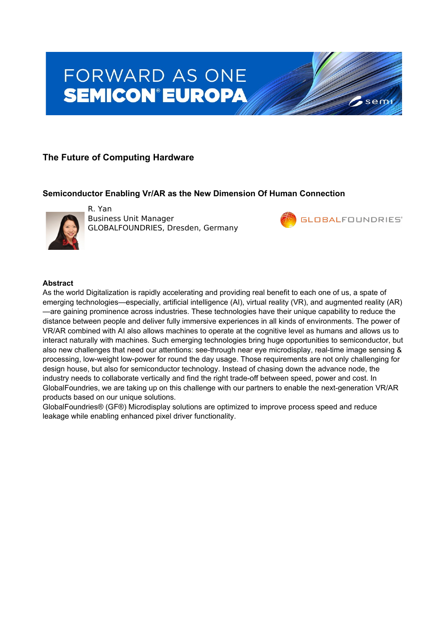# FORWARD AS ONE **SEMICON®EUROPA**

# **The Future of Computing Hardware**

## **Semiconductor Enabling Vr/AR as the New Dimension Of Human Connection**



R. Yan Business Unit Manager GLOBALFOUNDRIES, Dresden, Germany



sem

#### **Abstract**

As the world Digitalization is rapidly accelerating and providing real benefit to each one of us, a spate of emerging technologies—especially, artificial intelligence (AI), virtual reality (VR), and augmented reality (AR) —are gaining prominence across industries. These technologies have their unique capability to reduce the distance between people and deliver fully immersive experiences in all kinds of environments. The power of VR/AR combined with AI also allows machines to operate at the cognitive level as humans and allows us to interact naturally with machines. Such emerging technologies bring huge opportunities to semiconductor, but also new challenges that need our attentions: see-through near eye microdisplay, real-time image sensing & processing, low-weight low-power for round the day usage. Those requirements are not only challenging for design house, but also for semiconductor technology. Instead of chasing down the advance node, the industry needs to collaborate vertically and find the right trade-off between speed, power and cost. In GlobalFoundries, we are taking up on this challenge with our partners to enable the next-generation VR/AR products based on our unique solutions.

GlobalFoundries® (GF®) Microdisplay solutions are optimized to improve process speed and reduce leakage while enabling enhanced pixel driver functionality.